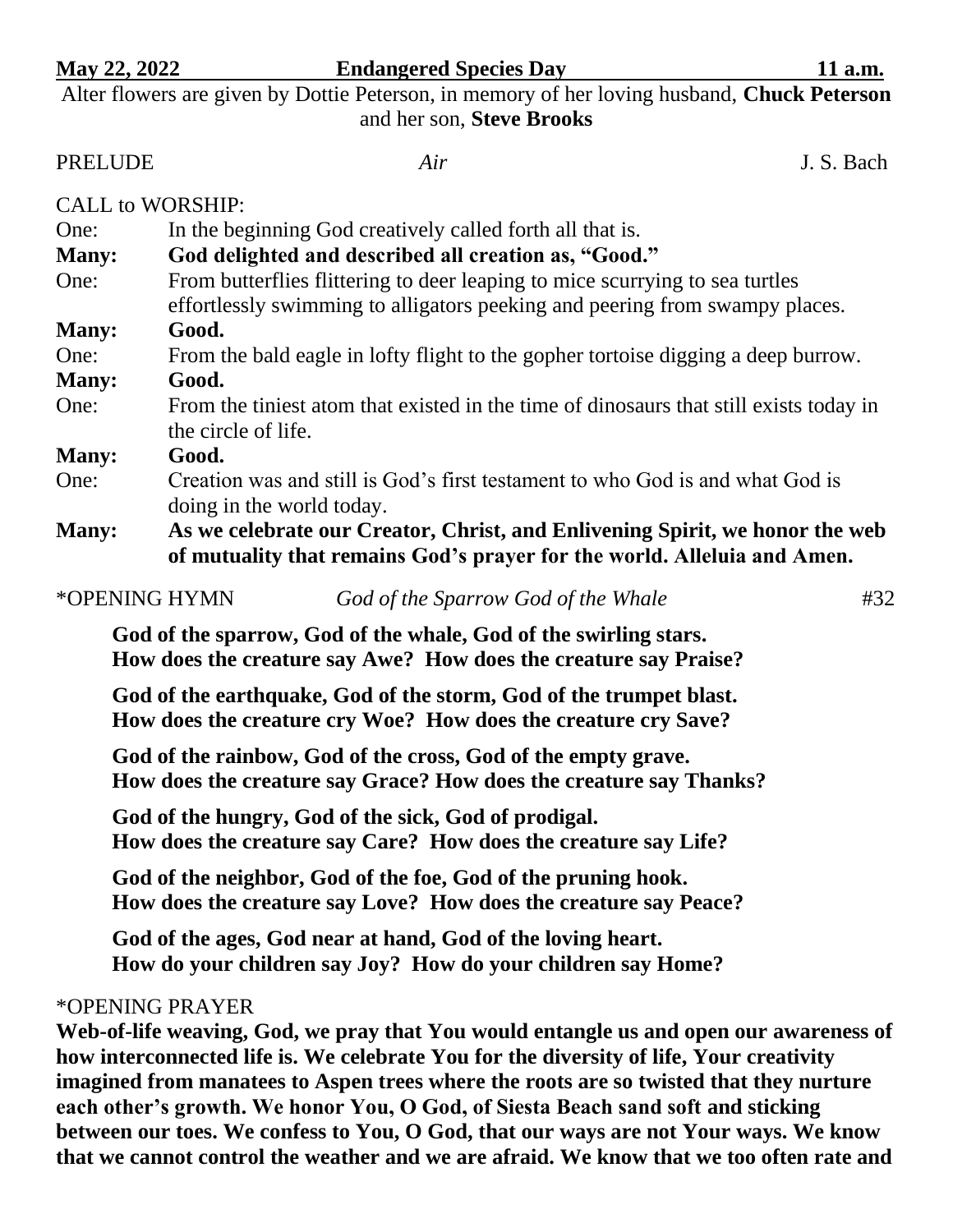| May 22, 2022                                                                                | <b>Endangered Species Day</b>                                                                                                                               | 11 a.m.    |
|---------------------------------------------------------------------------------------------|-------------------------------------------------------------------------------------------------------------------------------------------------------------|------------|
| Alter flowers are given by Dottie Peterson, in memory of her loving husband, Chuck Peterson |                                                                                                                                                             |            |
|                                                                                             | and her son, Steve Brooks                                                                                                                                   |            |
| <b>PRELUDE</b>                                                                              | Air                                                                                                                                                         | J. S. Bach |
| <b>CALL to WORSHIP:</b>                                                                     |                                                                                                                                                             |            |
| One:                                                                                        | In the beginning God creatively called forth all that is.                                                                                                   |            |
| <b>Many:</b>                                                                                | God delighted and described all creation as, "Good."                                                                                                        |            |
| One:                                                                                        | From butterflies flittering to deer leaping to mice scurrying to sea turtles<br>effortlessly swimming to alligators peeking and peering from swampy places. |            |
| <b>Many:</b>                                                                                | Good.                                                                                                                                                       |            |
| One:                                                                                        | From the bald eagle in lofty flight to the gopher tortoise digging a deep burrow.                                                                           |            |
| <b>Many:</b>                                                                                | Good.                                                                                                                                                       |            |
| One:                                                                                        | From the tiniest atom that existed in the time of dinosaurs that still exists today in<br>the circle of life.                                               |            |
| <b>Many:</b>                                                                                | Good.                                                                                                                                                       |            |
| One:                                                                                        | Creation was and still is God's first testament to who God is and what God is<br>doing in the world today.                                                  |            |
| <b>Many:</b>                                                                                | As we celebrate our Creator, Christ, and Enlivening Spirit, we honor the web<br>of mutuality that remains God's prayer for the world. Alleluia and Amen.    |            |

| #32                                                                                                                                                                         |
|-----------------------------------------------------------------------------------------------------------------------------------------------------------------------------|
|                                                                                                                                                                             |
| God of the Sparrow God of the Whale<br>God of the sparrow, God of the whale, God of the swirling stars.<br>How does the creature say Awe? How does the creature say Praise? |

**God of the earthquake, God of the storm, God of the trumpet blast. How does the creature cry Woe? How does the creature cry Save?**

**God of the rainbow, God of the cross, God of the empty grave. How does the creature say Grace? How does the creature say Thanks?**

**God of the hungry, God of the sick, God of prodigal. How does the creature say Care? How does the creature say Life?**

**God of the neighbor, God of the foe, God of the pruning hook. How does the creature say Love? How does the creature say Peace?**

**God of the ages, God near at hand, God of the loving heart. How do your children say Joy? How do your children say Home?**

## \*OPENING PRAYER

**Web-of-life weaving, God, we pray that You would entangle us and open our awareness of how interconnected life is. We celebrate You for the diversity of life, Your creativity imagined from manatees to Aspen trees where the roots are so twisted that they nurture each other's growth. We honor You, O God, of Siesta Beach sand soft and sticking between our toes. We confess to You, O God, that our ways are not Your ways. We know that we cannot control the weather and we are afraid. We know that we too often rate and**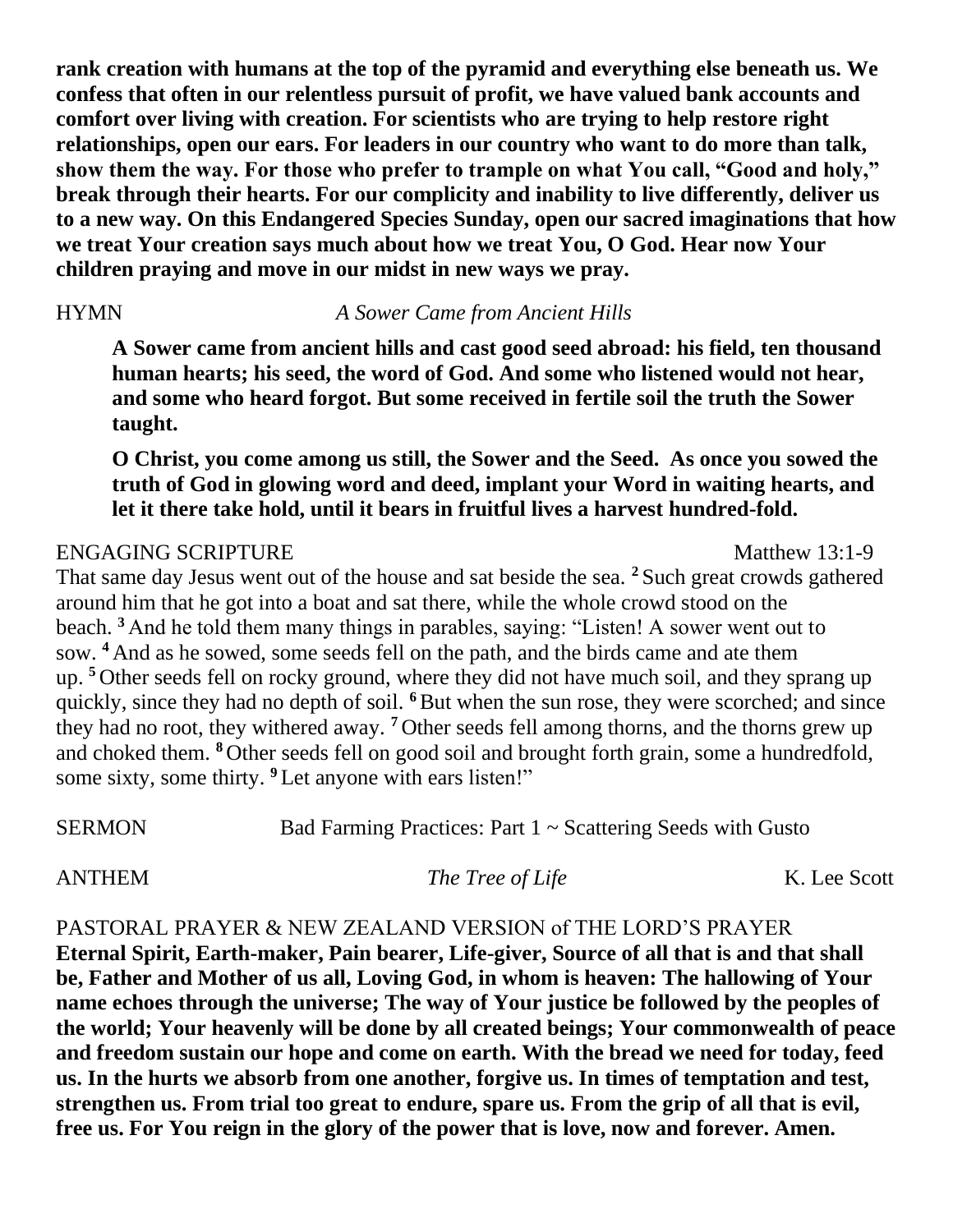**rank creation with humans at the top of the pyramid and everything else beneath us. We confess that often in our relentless pursuit of profit, we have valued bank accounts and comfort over living with creation. For scientists who are trying to help restore right relationships, open our ears. For leaders in our country who want to do more than talk, show them the way. For those who prefer to trample on what You call, "Good and holy," break through their hearts. For our complicity and inability to live differently, deliver us to a new way. On this Endangered Species Sunday, open our sacred imaginations that how we treat Your creation says much about how we treat You, O God. Hear now Your children praying and move in our midst in new ways we pray.**

HYMN *A Sower Came from Ancient Hills*

**A Sower came from ancient hills and cast good seed abroad: his field, ten thousand human hearts; his seed, the word of God. And some who listened would not hear, and some who heard forgot. But some received in fertile soil the truth the Sower taught.**

**O Christ, you come among us still, the Sower and the Seed. As once you sowed the truth of God in glowing word and deed, implant your Word in waiting hearts, and let it there take hold, until it bears in fruitful lives a harvest hundred-fold.**

## ENGAGING SCRIPTURE Matthew 13:1-9

That same day Jesus went out of the house and sat beside the sea. **<sup>2</sup>** Such great crowds gathered around him that he got into a boat and sat there, while the whole crowd stood on the beach. **<sup>3</sup>** And he told them many things in parables, saying: "Listen! A sower went out to sow. **<sup>4</sup>** And as he sowed, some seeds fell on the path, and the birds came and ate them up. **<sup>5</sup>** Other seeds fell on rocky ground, where they did not have much soil, and they sprang up quickly, since they had no depth of soil. **<sup>6</sup>**But when the sun rose, they were scorched; and since they had no root, they withered away. **<sup>7</sup>** Other seeds fell among thorns, and the thorns grew up and choked them. **<sup>8</sup>** Other seeds fell on good soil and brought forth grain, some a hundredfold, some sixty, some thirty. **<sup>9</sup>** Let anyone with ears listen!"

SERMON Bad Farming Practices: Part 1 ~ Scattering Seeds with Gusto

ANTHEM *The Tree of Life* K. Lee Scott

PASTORAL PRAYER & NEW ZEALAND VERSION of THE LORD'S PRAYER

**Eternal Spirit, Earth-maker, Pain bearer, Life-giver, Source of all that is and that shall be, Father and Mother of us all, Loving God, in whom is heaven: The hallowing of Your name echoes through the universe; The way of Your justice be followed by the peoples of the world; Your heavenly will be done by all created beings; Your commonwealth of peace and freedom sustain our hope and come on earth. With the bread we need for today, feed us. In the hurts we absorb from one another, forgive us. In times of temptation and test, strengthen us. From trial too great to endure, spare us. From the grip of all that is evil, free us. For You reign in the glory of the power that is love, now and forever. Amen.**